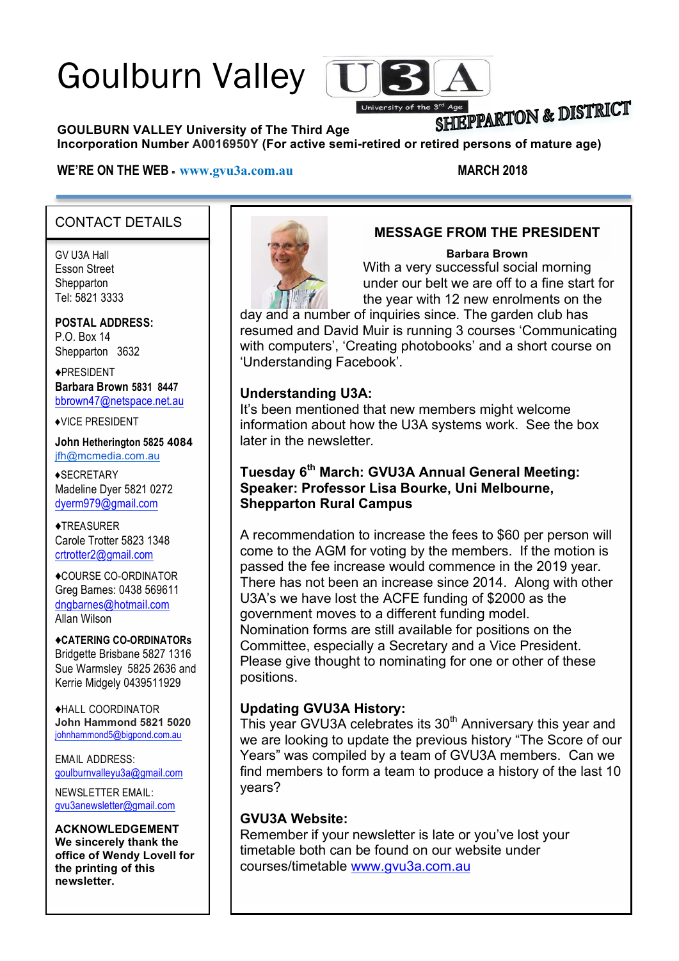# Goulburn Valley



# SHIEPPARTON & DISTRICT

**GOULBURN VALLEY University of The Third Age** 

#### **Incorporation Number A0016950Y (For active semi-retired or retired persons of mature age)**

#### **WE'RE ON THE WEB - www.gvu3a.com.au MARCH 2018**

#### CONTACT DETAILS

GV U3A Hall Esson Street **Shepparton** Tel: 5821 3333

**POSTAL ADDRESS:** P.O. Box 14 Shepparton 3632

!PRESIDENT **Barbara Brown 5831 8447** bbrown47@netspace.net.au

!VICE PRESIDENT

**John Hetherington 5825 4084** jfh@mcmedia.com.au

**\*SECRETARY** Madeline Dyer 5821 0272 dyerm979@gmail.com

**◆TREASURER** Carole Trotter 5823 1348 crtrotter2@gmail.com

!COURSE CO-ORDINATOR Greg Barnes: 0438 569611 dngbarnes@hotmail.com Allan Wilson

!**CATERING CO-ORDINATORs** Bridgette Brisbane 5827 1316 Sue Warmsley 5825 2636 and Kerrie Midgely 0439511929

!HALL COORDINATOR **John Hammond 5821 5020** johnhammond5@bigpond.com.au

EMAIL ADDRESS: goulburnvalleyu3a@gmail.com

NEWSLETTER EMAIL: gvu3anewsletter@gmail.com

**ACKNOWLEDGEMENT We sincerely thank the office of Wendy Lovell for the printing of this newsletter.**



#### **MESSAGE FROM THE PRESIDENT**

#### **Barbara Brown**

With a very successful social morning under our belt we are off to a fine start for the year with 12 new enrolments on the

day and a number of inquiries since. The garden club has resumed and David Muir is running 3 courses 'Communicating with computers', 'Creating photobooks' and a short course on 'Understanding Facebook'.

#### **Understanding U3A:**

It's been mentioned that new members might welcome information about how the U3A systems work. See the box later in the newsletter.

#### **Tuesday 6th March: GVU3A Annual General Meeting: Speaker: Professor Lisa Bourke, Uni Melbourne, Shepparton Rural Campus**

A recommendation to increase the fees to \$60 per person will come to the AGM for voting by the members. If the motion is passed the fee increase would commence in the 2019 year. There has not been an increase since 2014. Along with other U3A's we have lost the ACFE funding of \$2000 as the government moves to a different funding model. Nomination forms are still available for positions on the Committee, especially a Secretary and a Vice President. Please give thought to nominating for one or other of these positions.

#### **Updating GVU3A History:**

This year GVU3A celebrates its 30<sup>th</sup> Anniversary this year and we are looking to update the previous history "The Score of our Years" was compiled by a team of GVU3A members. Can we find members to form a team to produce a history of the last 10 years?

#### **GVU3A Website:**

Remember if your newsletter is late or you've lost your timetable both can be found on our website under courses/timetable www.gvu3a.com.au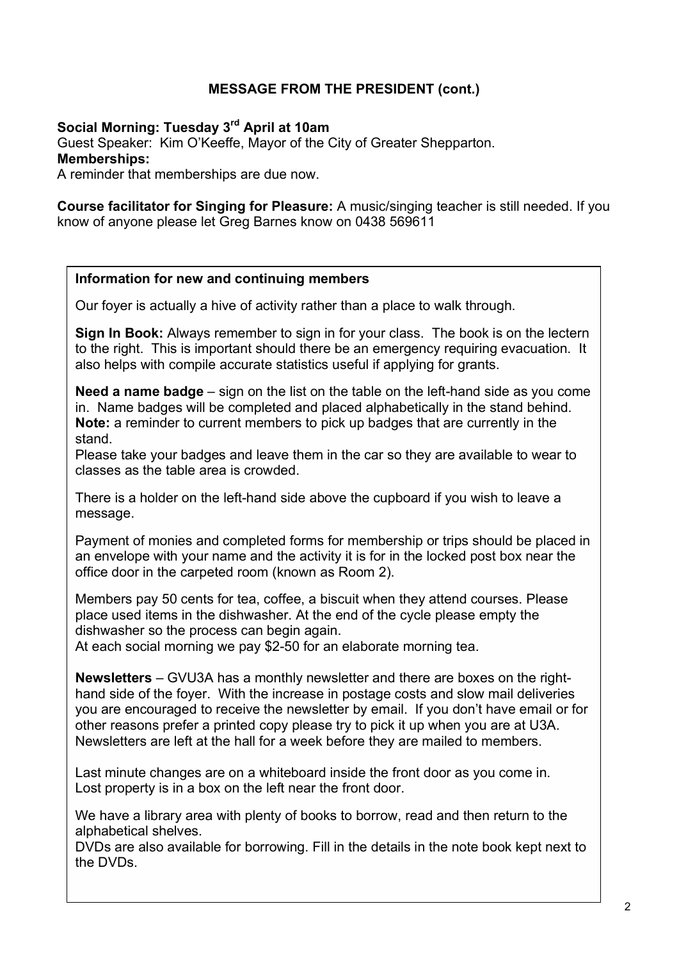#### **MESSAGE FROM THE PRESIDENT (cont.)**

#### **Social Morning: Tuesday 3rd April at 10am**

Guest Speaker: Kim O'Keeffe, Mayor of the City of Greater Shepparton. **Memberships:**

A reminder that memberships are due now.

**Course facilitator for Singing for Pleasure:** A music/singing teacher is still needed. If you know of anyone please let Greg Barnes know on 0438 569611

#### **Information for new and continuing members**

Our foyer is actually a hive of activity rather than a place to walk through.

**Sign In Book:** Always remember to sign in for your class. The book is on the lectern to the right. This is important should there be an emergency requiring evacuation. It also helps with compile accurate statistics useful if applying for grants.

**Need a name badge** – sign on the list on the table on the left-hand side as you come in. Name badges will be completed and placed alphabetically in the stand behind. **Note:** a reminder to current members to pick up badges that are currently in the stand.

Please take your badges and leave them in the car so they are available to wear to classes as the table area is crowded.

There is a holder on the left-hand side above the cupboard if you wish to leave a message.

Payment of monies and completed forms for membership or trips should be placed in an envelope with your name and the activity it is for in the locked post box near the office door in the carpeted room (known as Room 2).

Members pay 50 cents for tea, coffee, a biscuit when they attend courses. Please place used items in the dishwasher. At the end of the cycle please empty the dishwasher so the process can begin again.

At each social morning we pay \$2-50 for an elaborate morning tea.

**Newsletters** – GVU3A has a monthly newsletter and there are boxes on the righthand side of the foyer. With the increase in postage costs and slow mail deliveries you are encouraged to receive the newsletter by email. If you don't have email or for other reasons prefer a printed copy please try to pick it up when you are at U3A. Newsletters are left at the hall for a week before they are mailed to members.

Last minute changes are on a whiteboard inside the front door as you come in. Lost property is in a box on the left near the front door.

We have a library area with plenty of books to borrow, read and then return to the alphabetical shelves.

DVDs are also available for borrowing. Fill in the details in the note book kept next to the DVDs.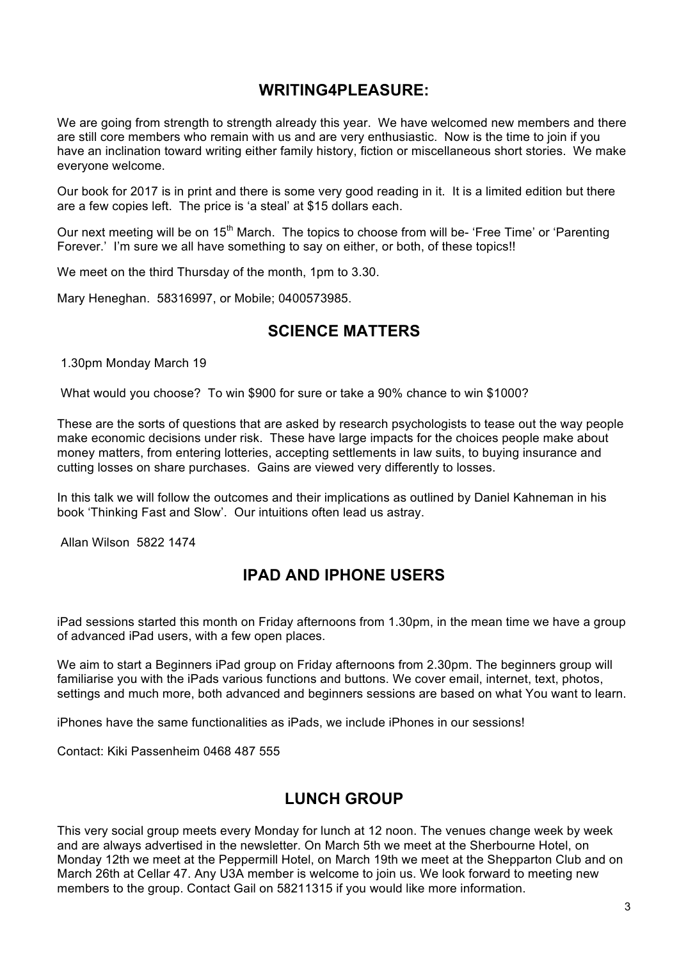#### **WRITING4PLEASURE:**

We are going from strength to strength already this year. We have welcomed new members and there are still core members who remain with us and are very enthusiastic. Now is the time to join if you have an inclination toward writing either family history, fiction or miscellaneous short stories. We make everyone welcome.

Our book for 2017 is in print and there is some very good reading in it. It is a limited edition but there are a few copies left. The price is 'a steal' at \$15 dollars each.

Our next meeting will be on 15<sup>th</sup> March. The topics to choose from will be- 'Free Time' or 'Parenting Forever.' I'm sure we all have something to say on either, or both, of these topics!!

We meet on the third Thursday of the month, 1pm to 3.30.

Mary Heneghan. 58316997, or Mobile; 0400573985.

#### **SCIENCE MATTERS**

1.30pm Monday March 19

What would you choose? To win \$900 for sure or take a 90% chance to win \$1000?

These are the sorts of questions that are asked by research psychologists to tease out the way people make economic decisions under risk. These have large impacts for the choices people make about money matters, from entering lotteries, accepting settlements in law suits, to buying insurance and cutting losses on share purchases. Gains are viewed very differently to losses.

In this talk we will follow the outcomes and their implications as outlined by Daniel Kahneman in his book 'Thinking Fast and Slow'. Our intuitions often lead us astray.

Allan Wilson 5822 1474

# **IPAD AND IPHONE USERS**

iPad sessions started this month on Friday afternoons from 1.30pm, in the mean time we have a group of advanced iPad users, with a few open places.

We aim to start a Beginners iPad group on Friday afternoons from 2.30pm. The beginners group will familiarise you with the iPads various functions and buttons. We cover email, internet, text, photos, settings and much more, both advanced and beginners sessions are based on what You want to learn.

iPhones have the same functionalities as iPads, we include iPhones in our sessions!

Contact: Kiki Passenheim 0468 487 555

### **LUNCH GROUP**

This very social group meets every Monday for lunch at 12 noon. The venues change week by week and are always advertised in the newsletter. On March 5th we meet at the Sherbourne Hotel, on Monday 12th we meet at the Peppermill Hotel, on March 19th we meet at the Shepparton Club and on March 26th at Cellar 47. Any U3A member is welcome to join us. We look forward to meeting new members to the group. Contact Gail on 58211315 if you would like more information.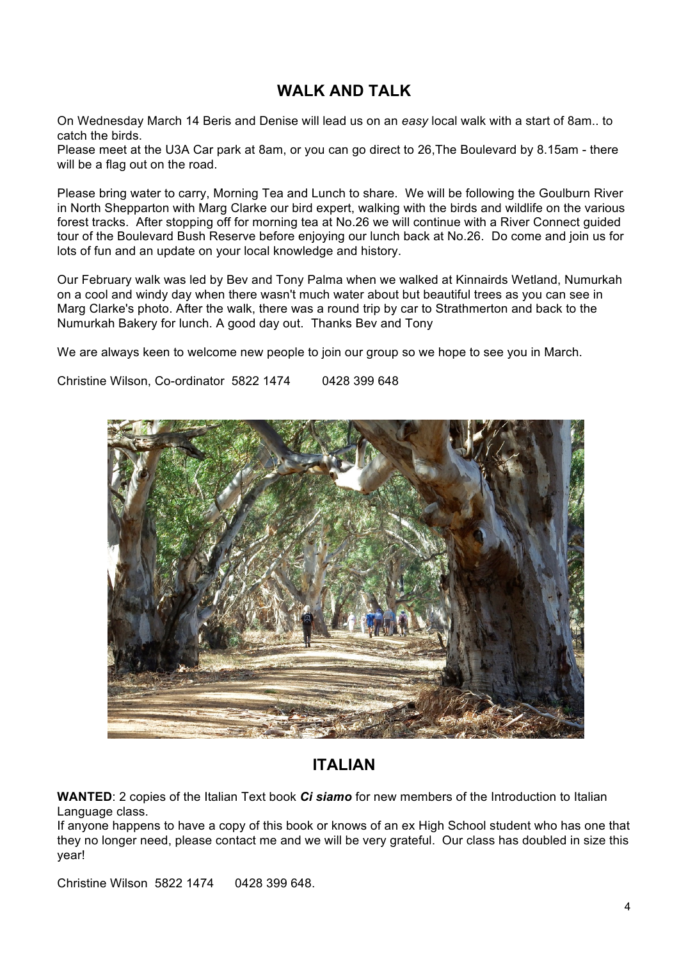# **WALK AND TALK**

On Wednesday March 14 Beris and Denise will lead us on an *easy* local walk with a start of 8am.. to catch the birds.

Please meet at the U3A Car park at 8am, or you can go direct to 26,The Boulevard by 8.15am - there will be a flag out on the road.

Please bring water to carry, Morning Tea and Lunch to share. We will be following the Goulburn River in North Shepparton with Marg Clarke our bird expert, walking with the birds and wildlife on the various forest tracks. After stopping off for morning tea at No.26 we will continue with a River Connect guided tour of the Boulevard Bush Reserve before enjoying our lunch back at No.26. Do come and join us for lots of fun and an update on your local knowledge and history.

Our February walk was led by Bev and Tony Palma when we walked at Kinnairds Wetland, Numurkah on a cool and windy day when there wasn't much water about but beautiful trees as you can see in Marg Clarke's photo. After the walk, there was a round trip by car to Strathmerton and back to the Numurkah Bakery for lunch. A good day out. Thanks Bev and Tony

We are always keen to welcome new people to join our group so we hope to see you in March.

Christine Wilson, Co-ordinator 5822 1474 0428 399 648



# **ITALIAN**

**WANTED**: 2 copies of the Italian Text book *Ci siamo* for new members of the Introduction to Italian Language class.

If anyone happens to have a copy of this book or knows of an ex High School student who has one that they no longer need, please contact me and we will be very grateful. Our class has doubled in size this year!

Christine Wilson 5822 1474 0428 399 648.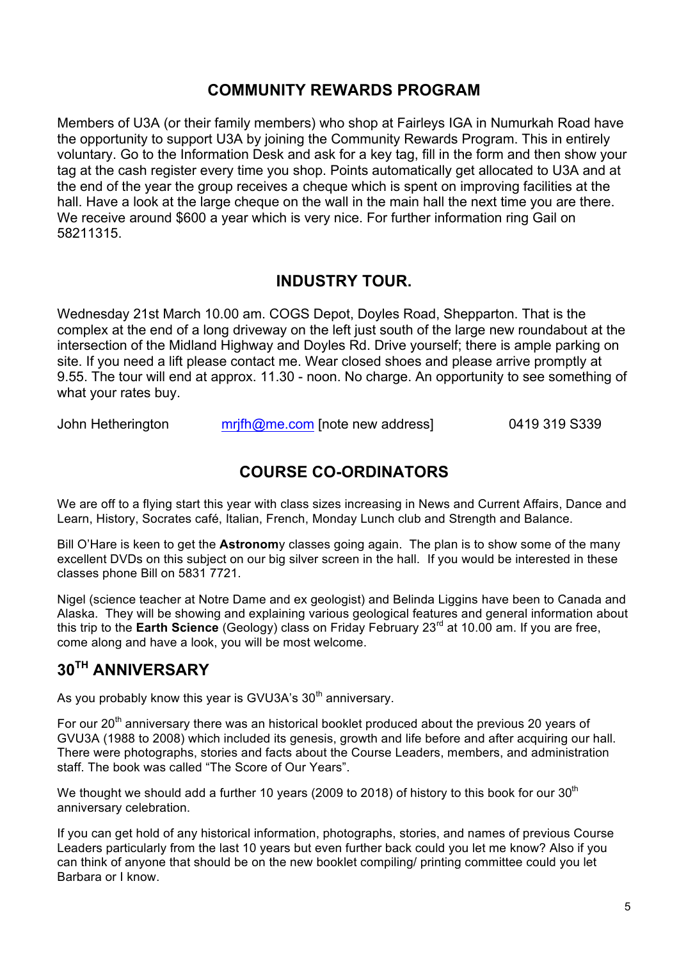### **COMMUNITY REWARDS PROGRAM**

Members of U3A (or their family members) who shop at Fairleys IGA in Numurkah Road have the opportunity to support U3A by joining the Community Rewards Program. This in entirely voluntary. Go to the Information Desk and ask for a key tag, fill in the form and then show your tag at the cash register every time you shop. Points automatically get allocated to U3A and at the end of the year the group receives a cheque which is spent on improving facilities at the hall. Have a look at the large cheque on the wall in the main hall the next time you are there. We receive around \$600 a year which is very nice. For further information ring Gail on 58211315.

### **INDUSTRY TOUR.**

Wednesday 21st March 10.00 am. COGS Depot, Doyles Road, Shepparton. That is the complex at the end of a long driveway on the left just south of the large new roundabout at the intersection of the Midland Highway and Doyles Rd. Drive yourself; there is ample parking on site. If you need a lift please contact me. Wear closed shoes and please arrive promptly at 9.55. The tour will end at approx. 11.30 - noon. No charge. An opportunity to see something of what your rates buy.

John Hetherington mrifh@me.com [note new address] 0419 319 S339

### **COURSE CO-ORDINATORS**

We are off to a flying start this year with class sizes increasing in News and Current Affairs, Dance and Learn, History, Socrates café, Italian, French, Monday Lunch club and Strength and Balance.

Bill O'Hare is keen to get the **Astronom**y classes going again. The plan is to show some of the many excellent DVDs on this subject on our big silver screen in the hall. If you would be interested in these classes phone Bill on 5831 7721.

Nigel (science teacher at Notre Dame and ex geologist) and Belinda Liggins have been to Canada and Alaska. They will be showing and explaining various geological features and general information about this trip to the **Earth Science** (Geology) class on Friday February 23rd at 10.00 am. If you are free, come along and have a look, you will be most welcome.

# **30TH ANNIVERSARY**

As you probably know this year is GVU3A's  $30<sup>th</sup>$  anniversary.

For our 20<sup>th</sup> anniversary there was an historical booklet produced about the previous 20 years of GVU3A (1988 to 2008) which included its genesis, growth and life before and after acquiring our hall. There were photographs, stories and facts about the Course Leaders, members, and administration staff. The book was called "The Score of Our Years".

We thought we should add a further 10 years (2009 to 2018) of history to this book for our  $30<sup>th</sup>$ anniversary celebration.

If you can get hold of any historical information, photographs, stories, and names of previous Course Leaders particularly from the last 10 years but even further back could you let me know? Also if you can think of anyone that should be on the new booklet compiling/ printing committee could you let Barbara or I know.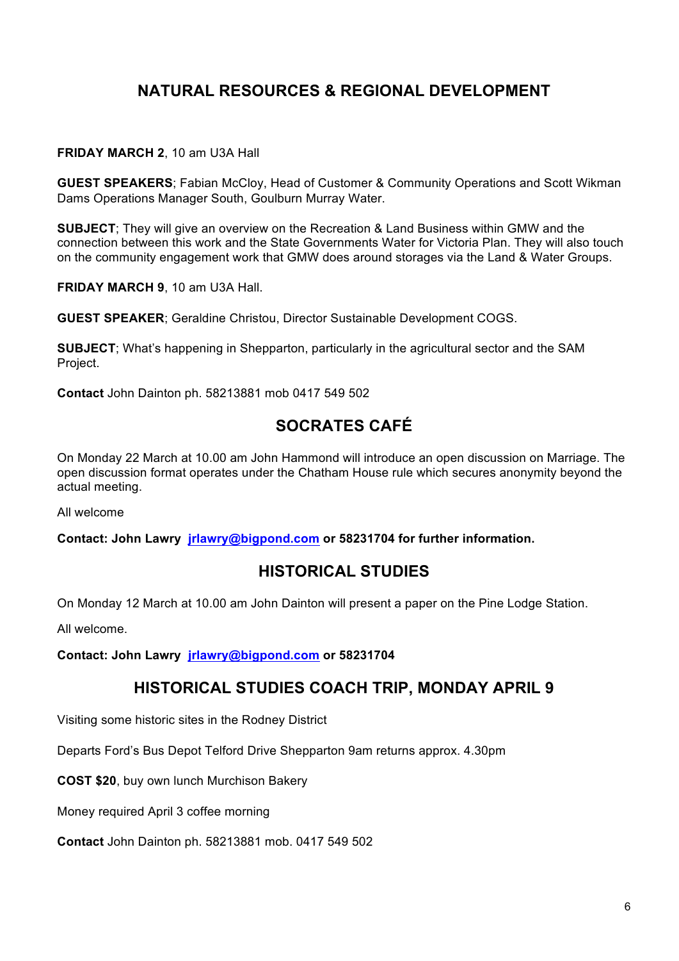# **NATURAL RESOURCES & REGIONAL DEVELOPMENT**

#### **FRIDAY MARCH 2**, 10 am U3A Hall

**GUEST SPEAKERS**; Fabian McCloy, Head of Customer & Community Operations and Scott Wikman Dams Operations Manager South, Goulburn Murray Water.

**SUBJECT**; They will give an overview on the Recreation & Land Business within GMW and the connection between this work and the State Governments Water for Victoria Plan. They will also touch on the community engagement work that GMW does around storages via the Land & Water Groups.

**FRIDAY MARCH 9**, 10 am U3A Hall.

**GUEST SPEAKER**; Geraldine Christou, Director Sustainable Development COGS.

**SUBJECT**; What's happening in Shepparton, particularly in the agricultural sector and the SAM Project.

**Contact** John Dainton ph. 58213881 mob 0417 549 502

# **SOCRATES CAFÉ**

On Monday 22 March at 10.00 am John Hammond will introduce an open discussion on Marriage. The open discussion format operates under the Chatham House rule which secures anonymity beyond the actual meeting.

All welcome

**Contact: John Lawry jrlawry@bigpond.com or 58231704 for further information.** 

#### **HISTORICAL STUDIES**

On Monday 12 March at 10.00 am John Dainton will present a paper on the Pine Lodge Station.

All welcome.

**Contact: John Lawry jrlawry@bigpond.com or 58231704**

#### **HISTORICAL STUDIES COACH TRIP, MONDAY APRIL 9**

Visiting some historic sites in the Rodney District

Departs Ford's Bus Depot Telford Drive Shepparton 9am returns approx. 4.30pm

**COST \$20**, buy own lunch Murchison Bakery

Money required April 3 coffee morning

**Contact** John Dainton ph. 58213881 mob. 0417 549 502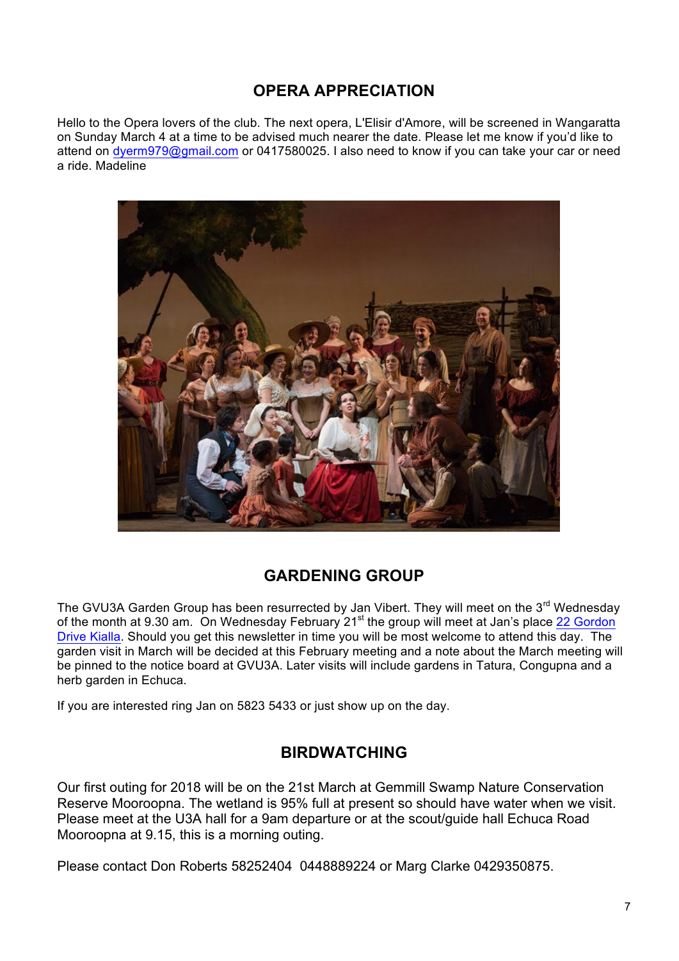# **OPERA APPRECIATION**

Hello to the Opera lovers of the club. The next opera, L'Elisir d'Amore, will be screened in Wangaratta on Sunday March 4 at a time to be advised much nearer the date. Please let me know if you'd like to attend on dyerm979@gmail.com or 0417580025. I also need to know if you can take your car or need a ride. Madeline



# **GARDENING GROUP**

The GVU3A Garden Group has been resurrected by Jan Vibert. They will meet on the 3<sup>rd</sup> Wednesdav of the month at 9.30 am. On Wednesday February 21st the group will meet at Jan's place 22 Gordon Drive Kialla. Should you get this newsletter in time you will be most welcome to attend this day. The garden visit in March will be decided at this February meeting and a note about the March meeting will be pinned to the notice board at GVU3A. Later visits will include gardens in Tatura, Congupna and a herb garden in Echuca.

If you are interested ring Jan on 5823 5433 or just show up on the day.

#### **BIRDWATCHING**

Our first outing for 2018 will be on the 21st March at Gemmill Swamp Nature Conservation Reserve Mooroopna. The wetland is 95% full at present so should have water when we visit. Please meet at the U3A hall for a 9am departure or at the scout/guide hall Echuca Road Mooroopna at 9.15, this is a morning outing.

Please contact Don Roberts 58252404 0448889224 or Marg Clarke 0429350875.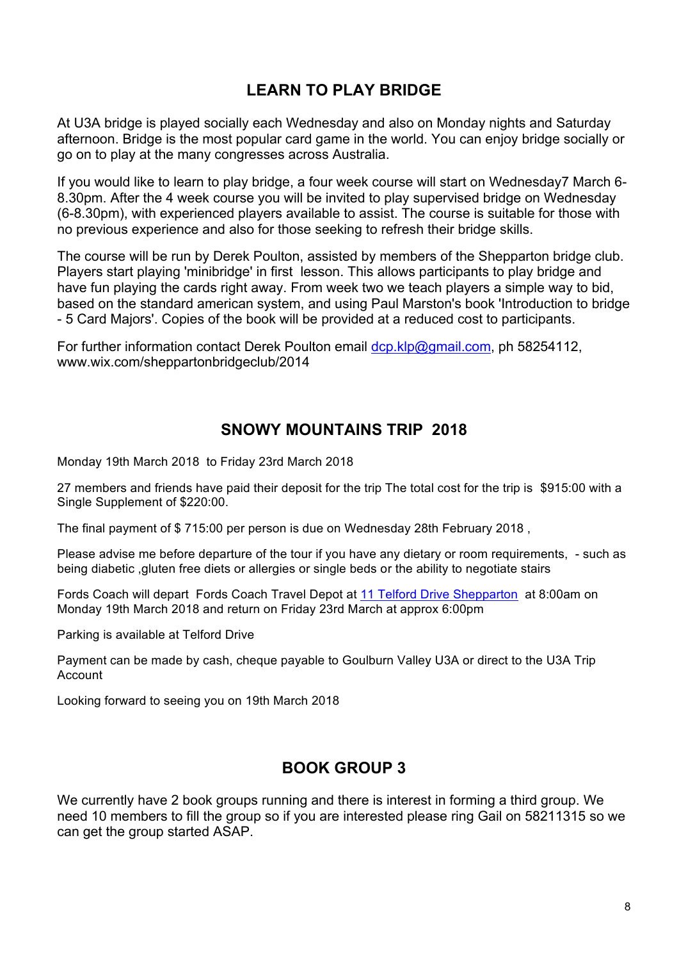# **LEARN TO PLAY BRIDGE**

At U3A bridge is played socially each Wednesday and also on Monday nights and Saturday afternoon. Bridge is the most popular card game in the world. You can enjoy bridge socially or go on to play at the many congresses across Australia.

If you would like to learn to play bridge, a four week course will start on Wednesday7 March 6- 8.30pm. After the 4 week course you will be invited to play supervised bridge on Wednesday (6-8.30pm), with experienced players available to assist. The course is suitable for those with no previous experience and also for those seeking to refresh their bridge skills.

The course will be run by Derek Poulton, assisted by members of the Shepparton bridge club. Players start playing 'minibridge' in first lesson. This allows participants to play bridge and have fun playing the cards right away. From week two we teach players a simple way to bid, based on the standard american system, and using Paul Marston's book 'Introduction to bridge - 5 Card Majors'. Copies of the book will be provided at a reduced cost to participants.

For further information contact Derek Poulton email dcp.klp@gmail.com, ph 58254112, www.wix.com/sheppartonbridgeclub/2014

#### **SNOWY MOUNTAINS TRIP 2018**

Monday 19th March 2018 to Friday 23rd March 2018

27 members and friends have paid their deposit for the trip The total cost for the trip is \$915:00 with a Single Supplement of \$220:00.

The final payment of \$ 715:00 per person is due on Wednesday 28th February 2018 ,

Please advise me before departure of the tour if you have any dietary or room requirements, - such as being diabetic ,gluten free diets or allergies or single beds or the ability to negotiate stairs

Fords Coach will depart Fords Coach Travel Depot at 11 Telford Drive Shepparton at 8:00am on Monday 19th March 2018 and return on Friday 23rd March at approx 6:00pm

Parking is available at Telford Drive

Payment can be made by cash, cheque payable to Goulburn Valley U3A or direct to the U3A Trip Account

Looking forward to seeing you on 19th March 2018

# **BOOK GROUP 3**

We currently have 2 book groups running and there is interest in forming a third group. We need 10 members to fill the group so if you are interested please ring Gail on 58211315 so we can get the group started ASAP.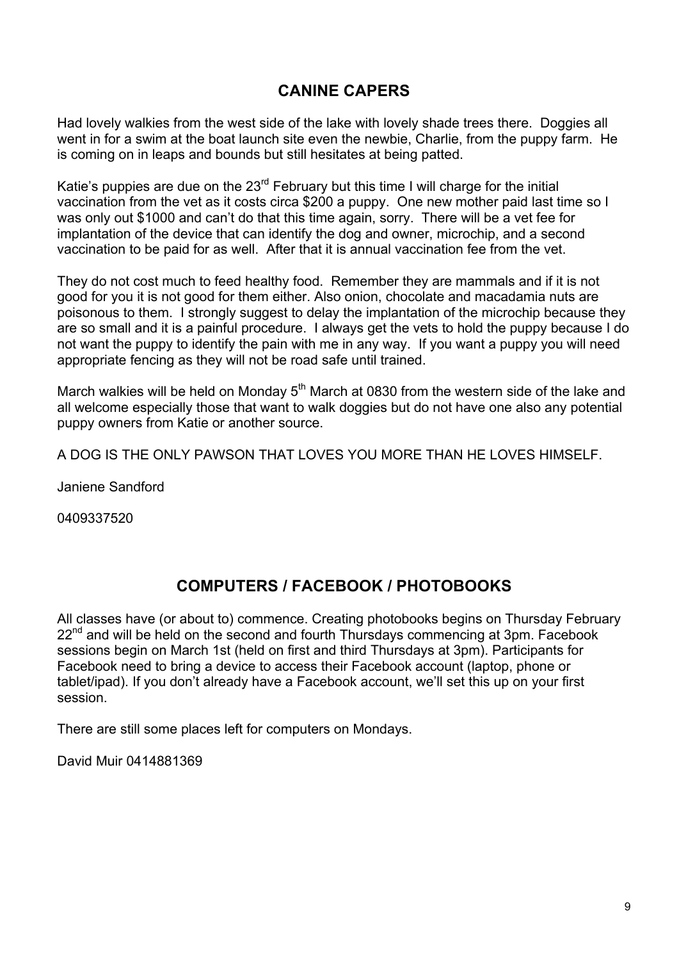## **CANINE CAPERS**

Had lovely walkies from the west side of the lake with lovely shade trees there. Doggies all went in for a swim at the boat launch site even the newbie, Charlie, from the puppy farm. He is coming on in leaps and bounds but still hesitates at being patted.

Katie's puppies are due on the  $23^{rd}$  February but this time I will charge for the initial vaccination from the vet as it costs circa \$200 a puppy. One new mother paid last time so I was only out \$1000 and can't do that this time again, sorry. There will be a vet fee for implantation of the device that can identify the dog and owner, microchip, and a second vaccination to be paid for as well. After that it is annual vaccination fee from the vet.

They do not cost much to feed healthy food. Remember they are mammals and if it is not good for you it is not good for them either. Also onion, chocolate and macadamia nuts are poisonous to them. I strongly suggest to delay the implantation of the microchip because they are so small and it is a painful procedure. I always get the vets to hold the puppy because I do not want the puppy to identify the pain with me in any way. If you want a puppy you will need appropriate fencing as they will not be road safe until trained.

March walkies will be held on Monday  $5<sup>th</sup>$  March at 0830 from the western side of the lake and all welcome especially those that want to walk doggies but do not have one also any potential puppy owners from Katie or another source.

A DOG IS THE ONLY PAWSON THAT LOVES YOU MORE THAN HE LOVES HIMSELF.

Janiene Sandford

0409337520

# **COMPUTERS / FACEBOOK / PHOTOBOOKS**

All classes have (or about to) commence. Creating photobooks begins on Thursday February  $22<sup>nd</sup>$  and will be held on the second and fourth Thursdays commencing at 3pm. Facebook sessions begin on March 1st (held on first and third Thursdays at 3pm). Participants for Facebook need to bring a device to access their Facebook account (laptop, phone or tablet/ipad). If you don't already have a Facebook account, we'll set this up on your first session.

There are still some places left for computers on Mondays.

David Muir 0414881369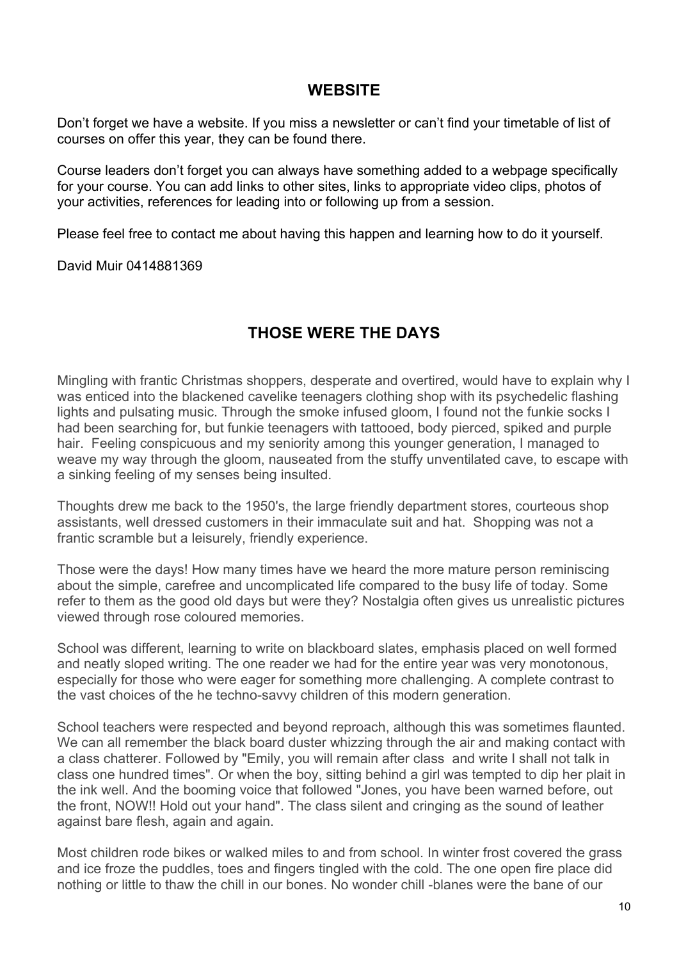#### **WEBSITE**

Don't forget we have a website. If you miss a newsletter or can't find your timetable of list of courses on offer this year, they can be found there.

Course leaders don't forget you can always have something added to a webpage specifically for your course. You can add links to other sites, links to appropriate video clips, photos of your activities, references for leading into or following up from a session.

Please feel free to contact me about having this happen and learning how to do it yourself.

David Muir 0414881369

## **THOSE WERE THE DAYS**

Mingling with frantic Christmas shoppers, desperate and overtired, would have to explain why I was enticed into the blackened cavelike teenagers clothing shop with its psychedelic flashing lights and pulsating music. Through the smoke infused gloom, I found not the funkie socks I had been searching for, but funkie teenagers with tattooed, body pierced, spiked and purple hair. Feeling conspicuous and my seniority among this younger generation, I managed to weave my way through the gloom, nauseated from the stuffy unventilated cave, to escape with a sinking feeling of my senses being insulted.

Thoughts drew me back to the 1950's, the large friendly department stores, courteous shop assistants, well dressed customers in their immaculate suit and hat. Shopping was not a frantic scramble but a leisurely, friendly experience.

Those were the days! How many times have we heard the more mature person reminiscing about the simple, carefree and uncomplicated life compared to the busy life of today. Some refer to them as the good old days but were they? Nostalgia often gives us unrealistic pictures viewed through rose coloured memories.

School was different, learning to write on blackboard slates, emphasis placed on well formed and neatly sloped writing. The one reader we had for the entire year was very monotonous, especially for those who were eager for something more challenging. A complete contrast to the vast choices of the he techno-savvy children of this modern generation.

School teachers were respected and beyond reproach, although this was sometimes flaunted. We can all remember the black board duster whizzing through the air and making contact with a class chatterer. Followed by "Emily, you will remain after class and write I shall not talk in class one hundred times". Or when the boy, sitting behind a girl was tempted to dip her plait in the ink well. And the booming voice that followed "Jones, you have been warned before, out the front, NOW!! Hold out your hand". The class silent and cringing as the sound of leather against bare flesh, again and again.

Most children rode bikes or walked miles to and from school. In winter frost covered the grass and ice froze the puddles, toes and fingers tingled with the cold. The one open fire place did nothing or little to thaw the chill in our bones. No wonder chill -blanes were the bane of our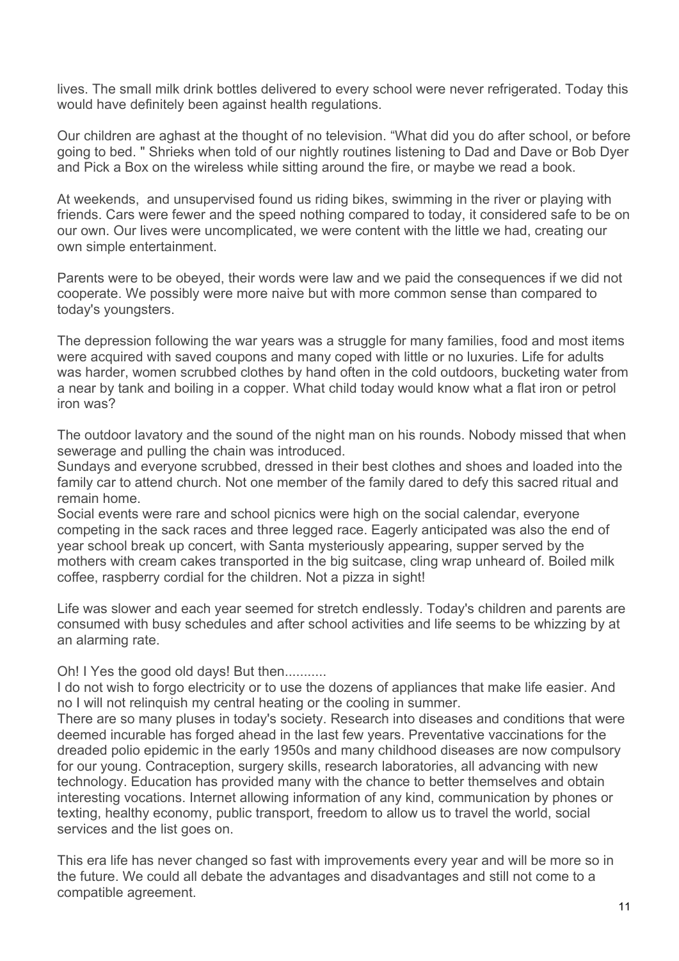lives. The small milk drink bottles delivered to every school were never refrigerated. Today this would have definitely been against health regulations.

Our children are aghast at the thought of no television. "What did you do after school, or before going to bed. " Shrieks when told of our nightly routines listening to Dad and Dave or Bob Dyer and Pick a Box on the wireless while sitting around the fire, or maybe we read a book.

At weekends, and unsupervised found us riding bikes, swimming in the river or playing with friends. Cars were fewer and the speed nothing compared to today, it considered safe to be on our own. Our lives were uncomplicated, we were content with the little we had, creating our own simple entertainment.

Parents were to be obeyed, their words were law and we paid the consequences if we did not cooperate. We possibly were more naive but with more common sense than compared to today's youngsters.

The depression following the war years was a struggle for many families, food and most items were acquired with saved coupons and many coped with little or no luxuries. Life for adults was harder, women scrubbed clothes by hand often in the cold outdoors, bucketing water from a near by tank and boiling in a copper. What child today would know what a flat iron or petrol iron was?

The outdoor lavatory and the sound of the night man on his rounds. Nobody missed that when sewerage and pulling the chain was introduced.

Sundays and everyone scrubbed, dressed in their best clothes and shoes and loaded into the family car to attend church. Not one member of the family dared to defy this sacred ritual and remain home.

Social events were rare and school picnics were high on the social calendar, everyone competing in the sack races and three legged race. Eagerly anticipated was also the end of year school break up concert, with Santa mysteriously appearing, supper served by the mothers with cream cakes transported in the big suitcase, cling wrap unheard of. Boiled milk coffee, raspberry cordial for the children. Not a pizza in sight!

Life was slower and each year seemed for stretch endlessly. Today's children and parents are consumed with busy schedules and after school activities and life seems to be whizzing by at an alarming rate.

Oh! I Yes the good old days! But then...........

I do not wish to forgo electricity or to use the dozens of appliances that make life easier. And no I will not relinquish my central heating or the cooling in summer.

There are so many pluses in today's society. Research into diseases and conditions that were deemed incurable has forged ahead in the last few years. Preventative vaccinations for the dreaded polio epidemic in the early 1950s and many childhood diseases are now compulsory for our young. Contraception, surgery skills, research laboratories, all advancing with new technology. Education has provided many with the chance to better themselves and obtain interesting vocations. Internet allowing information of any kind, communication by phones or texting, healthy economy, public transport, freedom to allow us to travel the world, social services and the list goes on.

This era life has never changed so fast with improvements every year and will be more so in the future. We could all debate the advantages and disadvantages and still not come to a compatible agreement.